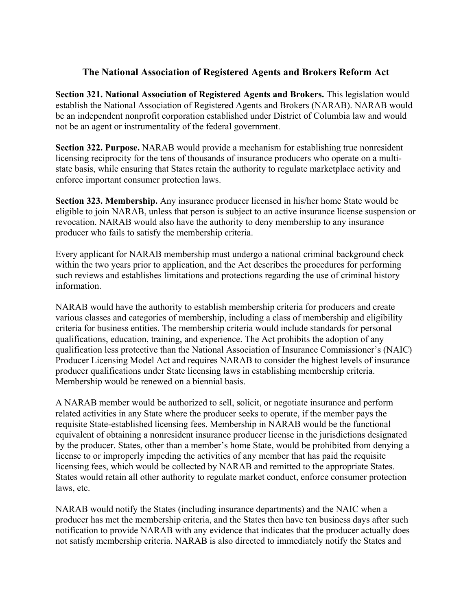## **The National Association of Registered Agents and Brokers Reform Act**

**Section 321. National Association of Registered Agents and Brokers.** This legislation would establish the National Association of Registered Agents and Brokers (NARAB). NARAB would be an independent nonprofit corporation established under District of Columbia law and would not be an agent or instrumentality of the federal government.

**Section 322. Purpose.** NARAB would provide a mechanism for establishing true nonresident licensing reciprocity for the tens of thousands of insurance producers who operate on a multistate basis, while ensuring that States retain the authority to regulate marketplace activity and enforce important consumer protection laws.

**Section 323. Membership.** Any insurance producer licensed in his/her home State would be eligible to join NARAB, unless that person is subject to an active insurance license suspension or revocation. NARAB would also have the authority to deny membership to any insurance producer who fails to satisfy the membership criteria.

Every applicant for NARAB membership must undergo a national criminal background check within the two years prior to application, and the Act describes the procedures for performing such reviews and establishes limitations and protections regarding the use of criminal history information.

NARAB would have the authority to establish membership criteria for producers and create various classes and categories of membership, including a class of membership and eligibility criteria for business entities. The membership criteria would include standards for personal qualifications, education, training, and experience. The Act prohibits the adoption of any qualification less protective than the National Association of Insurance Commissioner's (NAIC) Producer Licensing Model Act and requires NARAB to consider the highest levels of insurance producer qualifications under State licensing laws in establishing membership criteria. Membership would be renewed on a biennial basis.

A NARAB member would be authorized to sell, solicit, or negotiate insurance and perform related activities in any State where the producer seeks to operate, if the member pays the requisite State-established licensing fees. Membership in NARAB would be the functional equivalent of obtaining a nonresident insurance producer license in the jurisdictions designated by the producer. States, other than a member's home State, would be prohibited from denying a license to or improperly impeding the activities of any member that has paid the requisite licensing fees, which would be collected by NARAB and remitted to the appropriate States. States would retain all other authority to regulate market conduct, enforce consumer protection laws, etc.

NARAB would notify the States (including insurance departments) and the NAIC when a producer has met the membership criteria, and the States then have ten business days after such notification to provide NARAB with any evidence that indicates that the producer actually does not satisfy membership criteria. NARAB is also directed to immediately notify the States and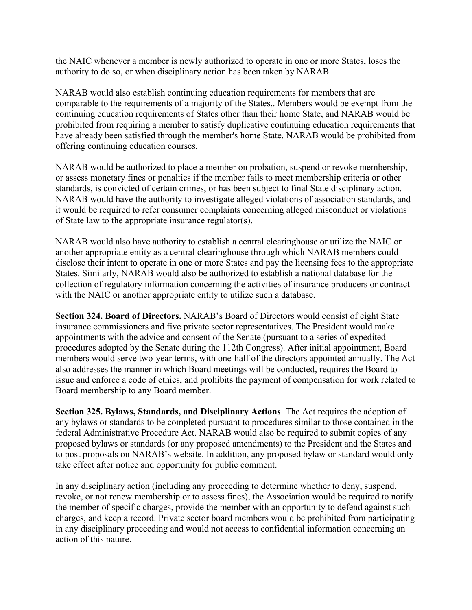the NAIC whenever a member is newly authorized to operate in one or more States, loses the authority to do so, or when disciplinary action has been taken by NARAB.

NARAB would also establish continuing education requirements for members that are comparable to the requirements of a majority of the States,. Members would be exempt from the continuing education requirements of States other than their home State, and NARAB would be prohibited from requiring a member to satisfy duplicative continuing education requirements that have already been satisfied through the member's home State. NARAB would be prohibited from offering continuing education courses.

NARAB would be authorized to place a member on probation, suspend or revoke membership, or assess monetary fines or penalties if the member fails to meet membership criteria or other standards, is convicted of certain crimes, or has been subject to final State disciplinary action. NARAB would have the authority to investigate alleged violations of association standards, and it would be required to refer consumer complaints concerning alleged misconduct or violations of State law to the appropriate insurance regulator(s).

NARAB would also have authority to establish a central clearinghouse or utilize the NAIC or another appropriate entity as a central clearinghouse through which NARAB members could disclose their intent to operate in one or more States and pay the licensing fees to the appropriate States. Similarly, NARAB would also be authorized to establish a national database for the collection of regulatory information concerning the activities of insurance producers or contract with the NAIC or another appropriate entity to utilize such a database.

**Section 324. Board of Directors.** NARAB's Board of Directors would consist of eight State insurance commissioners and five private sector representatives. The President would make appointments with the advice and consent of the Senate (pursuant to a series of expedited procedures adopted by the Senate during the 112th Congress). After initial appointment, Board members would serve two-year terms, with one-half of the directors appointed annually. The Act also addresses the manner in which Board meetings will be conducted, requires the Board to issue and enforce a code of ethics, and prohibits the payment of compensation for work related to Board membership to any Board member.

**Section 325. Bylaws, Standards, and Disciplinary Actions**. The Act requires the adoption of any bylaws or standards to be completed pursuant to procedures similar to those contained in the federal Administrative Procedure Act. NARAB would also be required to submit copies of any proposed bylaws or standards (or any proposed amendments) to the President and the States and to post proposals on NARAB's website. In addition, any proposed bylaw or standard would only take effect after notice and opportunity for public comment.

In any disciplinary action (including any proceeding to determine whether to deny, suspend, revoke, or not renew membership or to assess fines), the Association would be required to notify the member of specific charges, provide the member with an opportunity to defend against such charges, and keep a record. Private sector board members would be prohibited from participating in any disciplinary proceeding and would not access to confidential information concerning an action of this nature.